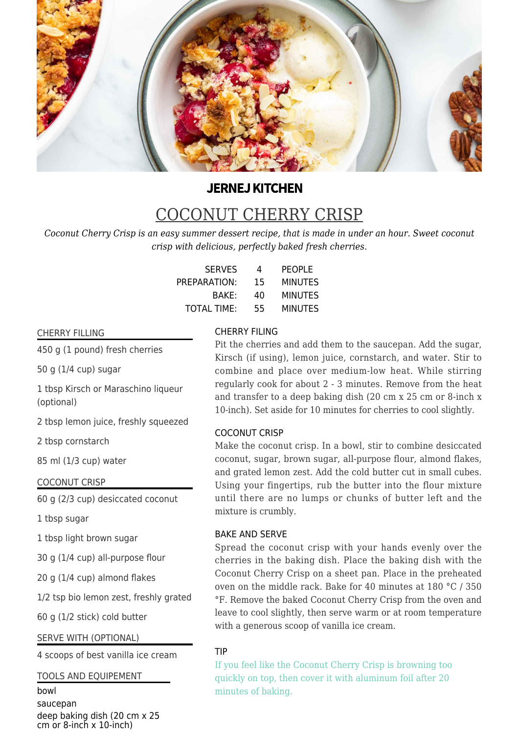

# **JERNEJ KITCHEN**

# COCONUT CHERRY CRISP

*Coconut Cherry Crisp is an easy summer dessert recipe, that is made in under an hour. Sweet coconut crisp with delicious, perfectly baked fresh cherries.*

| <b>SERVES</b> | 4  | <b>PEOPLE</b>  |
|---------------|----|----------------|
| PREPARATION:  | 15 | <b>MINUTES</b> |
| BAKE:         | 40 | <b>MINUTES</b> |
| TOTAL TIME:   | 55 | <b>MINUTES</b> |

# CHERRY FILLING

450 g (1 pound) fresh cherries

50 g (1/4 cup) sugar

1 tbsp Kirsch or Maraschino liqueur (optional)

2 tbsp lemon juice, freshly squeezed

2 tbsp cornstarch

85 ml (1/3 cup) water

COCONUT CRISP

60 g (2/3 cup) desiccated coconut

1 tbsp sugar

1 tbsp light brown sugar

30 g (1/4 cup) all-purpose flour

20 g (1/4 cup) almond flakes

1/2 tsp bio lemon zest, freshly grated

60 g (1/2 stick) cold butter

# SERVE WITH (OPTIONAL)

4 scoops of best vanilla ice cream

# TOOLS AND EQUIPEMENT

bowl saucepan deep baking dish (20 cm x 25 cm or 8-inch  $x$  10-inch)

## CHERRY FILING

Pit the cherries and add them to the saucepan. Add the sugar, Kirsch (if using), lemon juice, cornstarch, and water. Stir to combine and place over medium-low heat. While stirring regularly cook for about 2 - 3 minutes. Remove from the heat and transfer to a deep baking dish (20 cm x 25 cm or 8-inch x 10-inch). Set aside for 10 minutes for cherries to cool slightly.

#### COCONUT CRISP

Make the coconut crisp. In a bowl, stir to combine desiccated coconut, sugar, brown sugar, all-purpose flour, almond flakes, and grated lemon zest. Add the cold butter cut in small cubes. Using your fingertips, rub the butter into the flour mixture until there are no lumps or chunks of butter left and the mixture is crumbly.

### BAKE AND SERVE

Spread the coconut crisp with your hands evenly over the cherries in the baking dish. Place the baking dish with the Coconut Cherry Crisp on a sheet pan. Place in the preheated oven on the middle rack. Bake for 40 minutes at 180 °C / 350 °F. Remove the baked Coconut Cherry Crisp from the oven and leave to cool slightly, then serve warm or at room temperature with a generous scoop of vanilla ice cream.

# TIP

If you feel like the Coconut Cherry Crisp is browning too quickly on top, then cover it with aluminum foil after 20 minutes of baking.